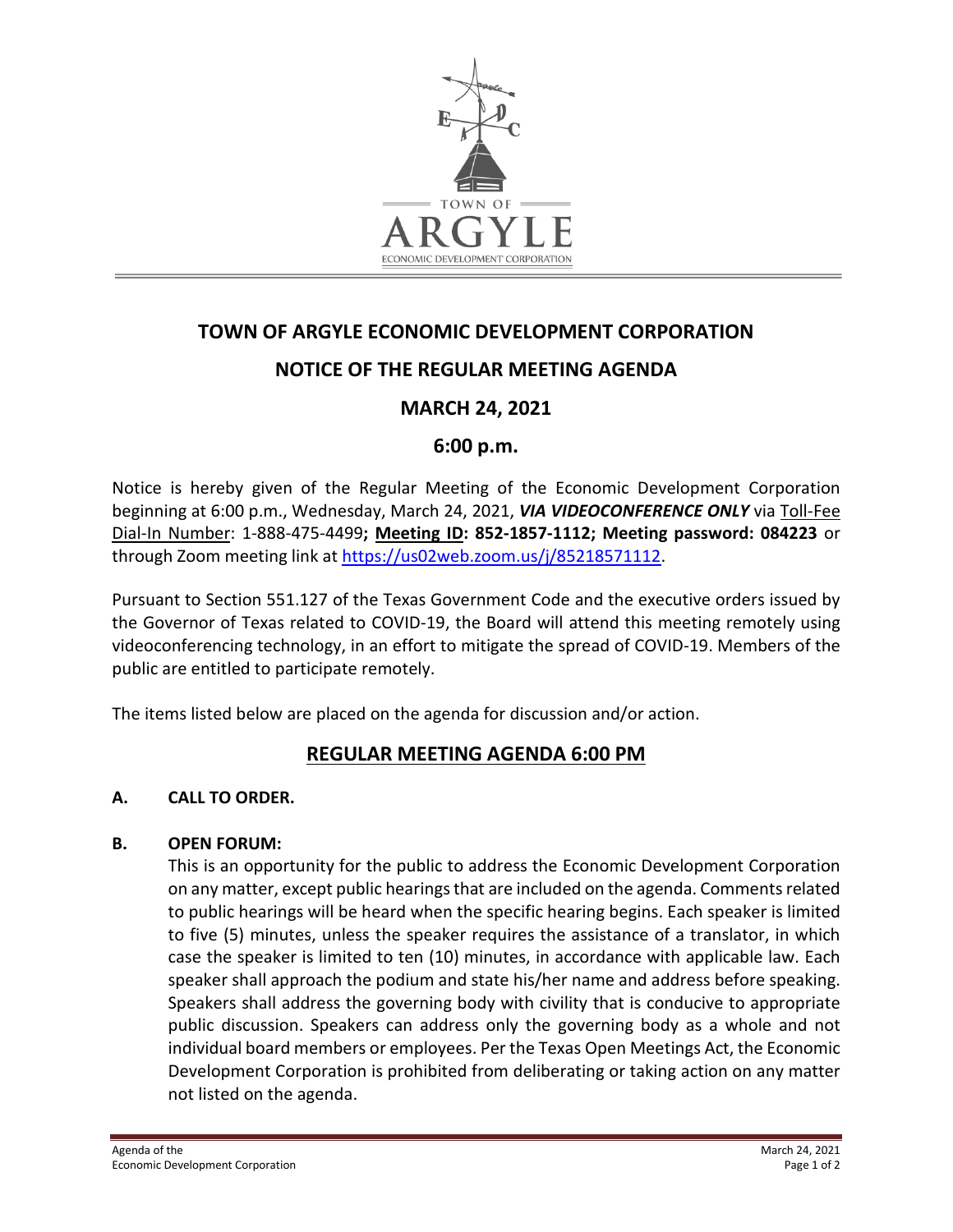

# **TOWN OF ARGYLE ECONOMIC DEVELOPMENT CORPORATION**

# **NOTICE OF THE REGULAR MEETING AGENDA**

# **MARCH 24, 2021**

# **6:00 p.m.**

Notice is hereby given of the Regular Meeting of the Economic Development Corporation beginning at 6:00 p.m., Wednesday, March 24, 2021, *VIA VIDEOCONFERENCE ONLY* via Toll-Fee Dial-In Number: 1-888-475-4499**; Meeting ID: 852-1857-1112; Meeting password: 084223** or through Zoom meeting link at [https://us02web.zoom.us/j/85218571112.](https://us02web.zoom.us/j/85218571112)

Pursuant to Section 551.127 of the Texas Government Code and the executive orders issued by the Governor of Texas related to COVID-19, the Board will attend this meeting remotely using videoconferencing technology, in an effort to mitigate the spread of COVID-19. Members of the public are entitled to participate remotely.

The items listed below are placed on the agenda for discussion and/or action.

# **REGULAR MEETING AGENDA 6:00 PM**

# **A. CALL TO ORDER.**

# **B. OPEN FORUM:**

This is an opportunity for the public to address the Economic Development Corporation on any matter, except public hearings that are included on the agenda. Comments related to public hearings will be heard when the specific hearing begins. Each speaker is limited to five (5) minutes, unless the speaker requires the assistance of a translator, in which case the speaker is limited to ten (10) minutes, in accordance with applicable law. Each speaker shall approach the podium and state his/her name and address before speaking. Speakers shall address the governing body with civility that is conducive to appropriate public discussion. Speakers can address only the governing body as a whole and not individual board members or employees. Per the Texas Open Meetings Act, the Economic Development Corporation is prohibited from deliberating or taking action on any matter not listed on the agenda.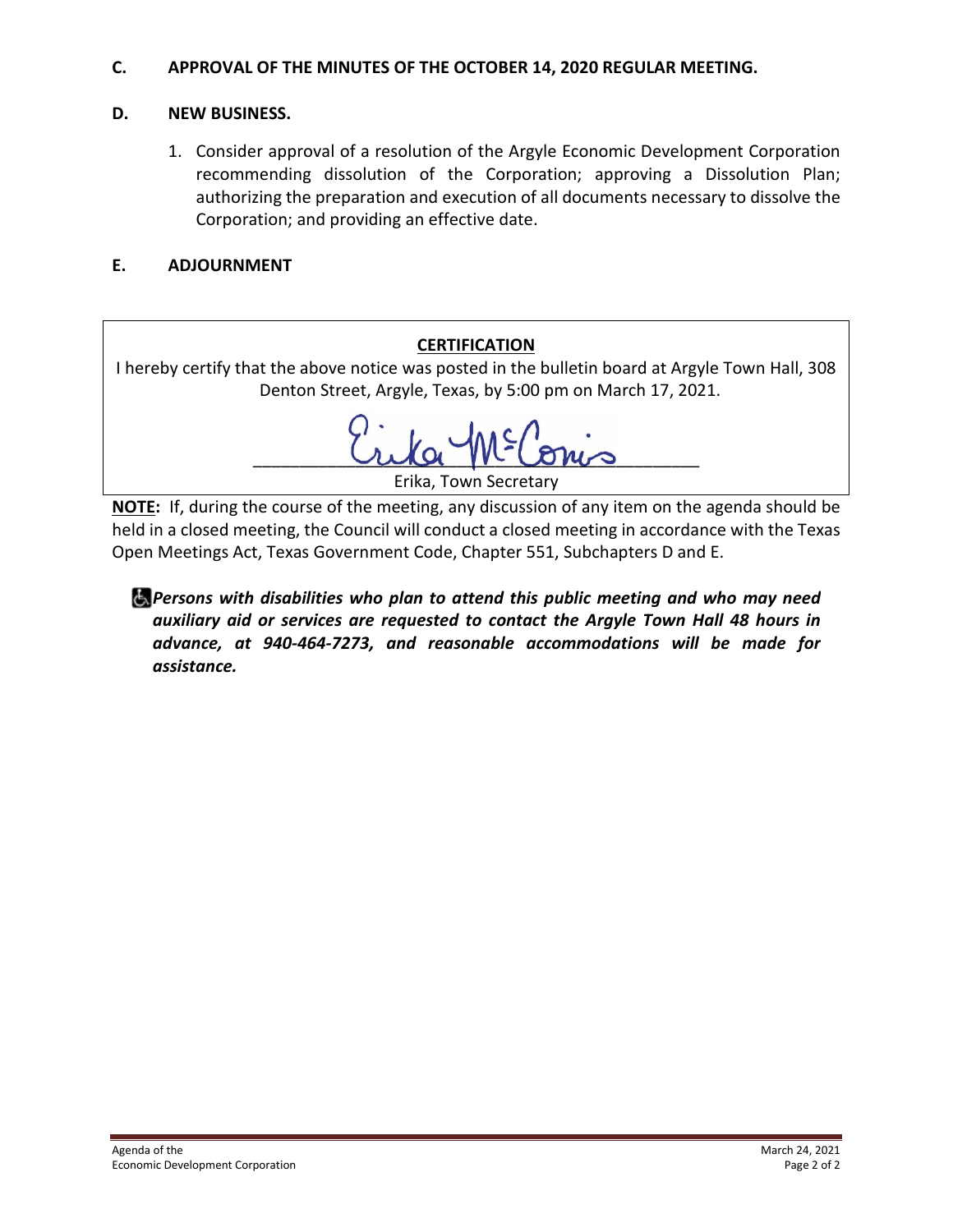# **C. APPROVAL OF THE MINUTES OF THE OCTOBER 14, 2020 REGULAR MEETING.**

# **D. NEW BUSINESS.**

1. Consider approval of a resolution of the Argyle Economic Development Corporation recommending dissolution of the Corporation; approving a Dissolution Plan; authorizing the preparation and execution of all documents necessary to dissolve the Corporation; and providing an effective date.

# **E. ADJOURNMENT**

# **CERTIFICATION**

I hereby certify that the above notice was posted in the bulletin board at Argyle Town Hall, 308 Denton Street, Argyle, Texas, by 5:00 pm on March 17, 2021.

\_\_\_\_\_\_\_\_\_\_\_\_\_\_\_\_\_\_\_\_\_\_\_\_\_\_\_\_\_\_\_\_\_\_\_\_\_\_\_\_\_\_\_\_\_\_\_\_

Erika, Town Secretary

**NOTE:** If, during the course of the meeting, any discussion of any item on the agenda should be held in a closed meeting, the Council will conduct a closed meeting in accordance with the Texas Open Meetings Act, Texas Government Code, Chapter 551, Subchapters D and E.

*Persons with disabilities who plan to attend this public meeting and who may need auxiliary aid or services are requested to contact the Argyle Town Hall 48 hours in advance, at 940-464-7273, and reasonable accommodations will be made for assistance.*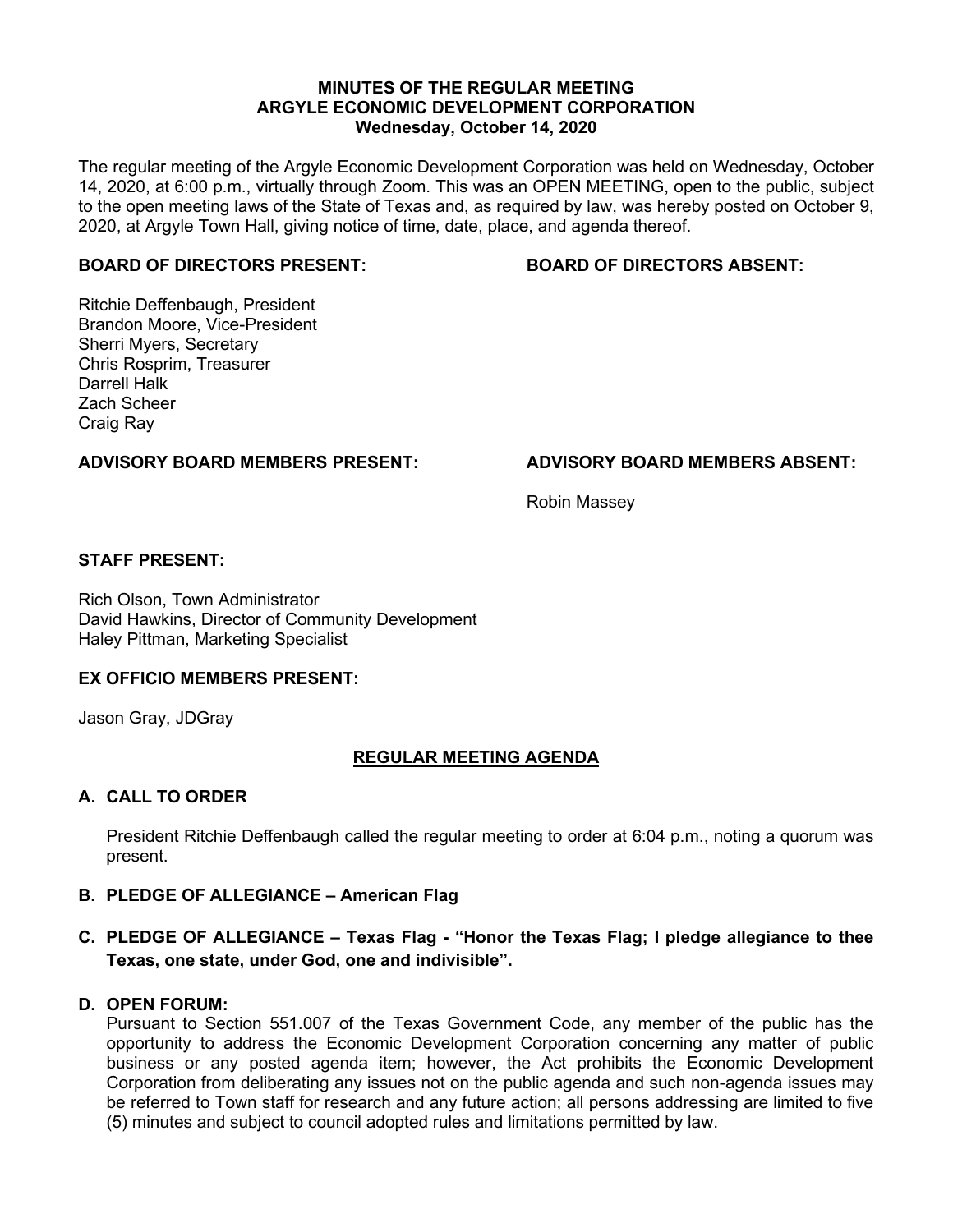#### **MINUTES OF THE REGULAR MEETING ARGYLE ECONOMIC DEVELOPMENT CORPORATION Wednesday, October 14, 2020**

The regular meeting of the Argyle Economic Development Corporation was held on Wednesday, October 14, 2020, at 6:00 p.m., virtually through Zoom. This was an OPEN MEETING, open to the public, subject to the open meeting laws of the State of Texas and, as required by law, was hereby posted on October 9, 2020, at Argyle Town Hall, giving notice of time, date, place, and agenda thereof.

#### **BOARD OF DIRECTORS PRESENT: BOARD OF DIRECTORS ABSENT:**

Ritchie Deffenbaugh, President Brandon Moore, Vice-President Sherri Myers, Secretary Chris Rosprim, Treasurer Darrell Halk Zach Scheer Craig Ray

#### **ADVISORY BOARD MEMBERS PRESENT: ADVISORY BOARD MEMBERS ABSENT:**

Robin Massey

#### **STAFF PRESENT:**

Rich Olson, Town Administrator David Hawkins, Director of Community Development Haley Pittman, Marketing Specialist

#### **EX OFFICIO MEMBERS PRESENT:**

Jason Gray, JDGray

#### **REGULAR MEETING AGENDA**

#### **A. CALL TO ORDER**

President Ritchie Deffenbaugh called the regular meeting to order at 6:04 p.m., noting a quorum was present.

#### **B. PLEDGE OF ALLEGIANCE – American Flag**

#### **C. PLEDGE OF ALLEGIANCE – Texas Flag - "Honor the Texas Flag; I pledge allegiance to thee Texas, one state, under God, one and indivisible".**

#### **D. OPEN FORUM:**

Pursuant to Section 551.007 of the Texas Government Code, any member of the public has the opportunity to address the Economic Development Corporation concerning any matter of public business or any posted agenda item; however, the Act prohibits the Economic Development Corporation from deliberating any issues not on the public agenda and such non-agenda issues may be referred to Town staff for research and any future action; all persons addressing are limited to five (5) minutes and subject to council adopted rules and limitations permitted by law.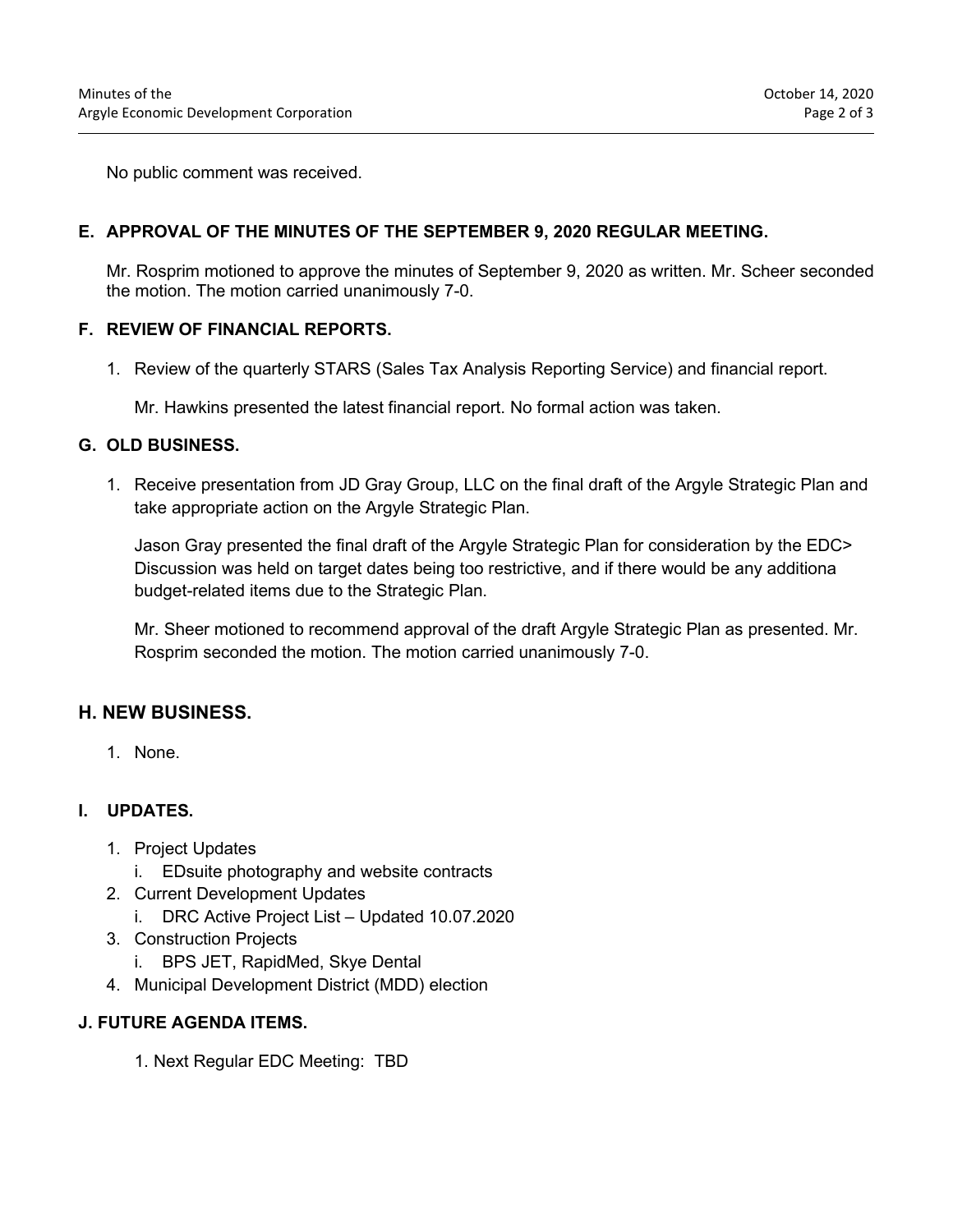No public comment was received.

#### **E. APPROVAL OF THE MINUTES OF THE SEPTEMBER 9, 2020 REGULAR MEETING.**

Mr. Rosprim motioned to approve the minutes of September 9, 2020 as written. Mr. Scheer seconded the motion. The motion carried unanimously 7-0.

#### **F. REVIEW OF FINANCIAL REPORTS.**

1. Review of the quarterly STARS (Sales Tax Analysis Reporting Service) and financial report.

Mr. Hawkins presented the latest financial report. No formal action was taken.

#### **G. OLD BUSINESS.**

1. Receive presentation from JD Gray Group, LLC on the final draft of the Argyle Strategic Plan and take appropriate action on the Argyle Strategic Plan.

Jason Gray presented the final draft of the Argyle Strategic Plan for consideration by the EDC> Discussion was held on target dates being too restrictive, and if there would be any additiona budget-related items due to the Strategic Plan.

Mr. Sheer motioned to recommend approval of the draft Argyle Strategic Plan as presented. Mr. Rosprim seconded the motion. The motion carried unanimously 7-0.

#### **H. NEW BUSINESS.**

1. None.

#### **I. UPDATES.**

- 1. Project Updates
	- i. EDsuite photography and website contracts
- 2. Current Development Updates
	- i. DRC Active Project List Updated 10.07.2020
- 3. Construction Projects
	- i. BPS JET, RapidMed, Skye Dental
- 4. Municipal Development District (MDD) election

#### **J. FUTURE AGENDA ITEMS.**

1. Next Regular EDC Meeting: TBD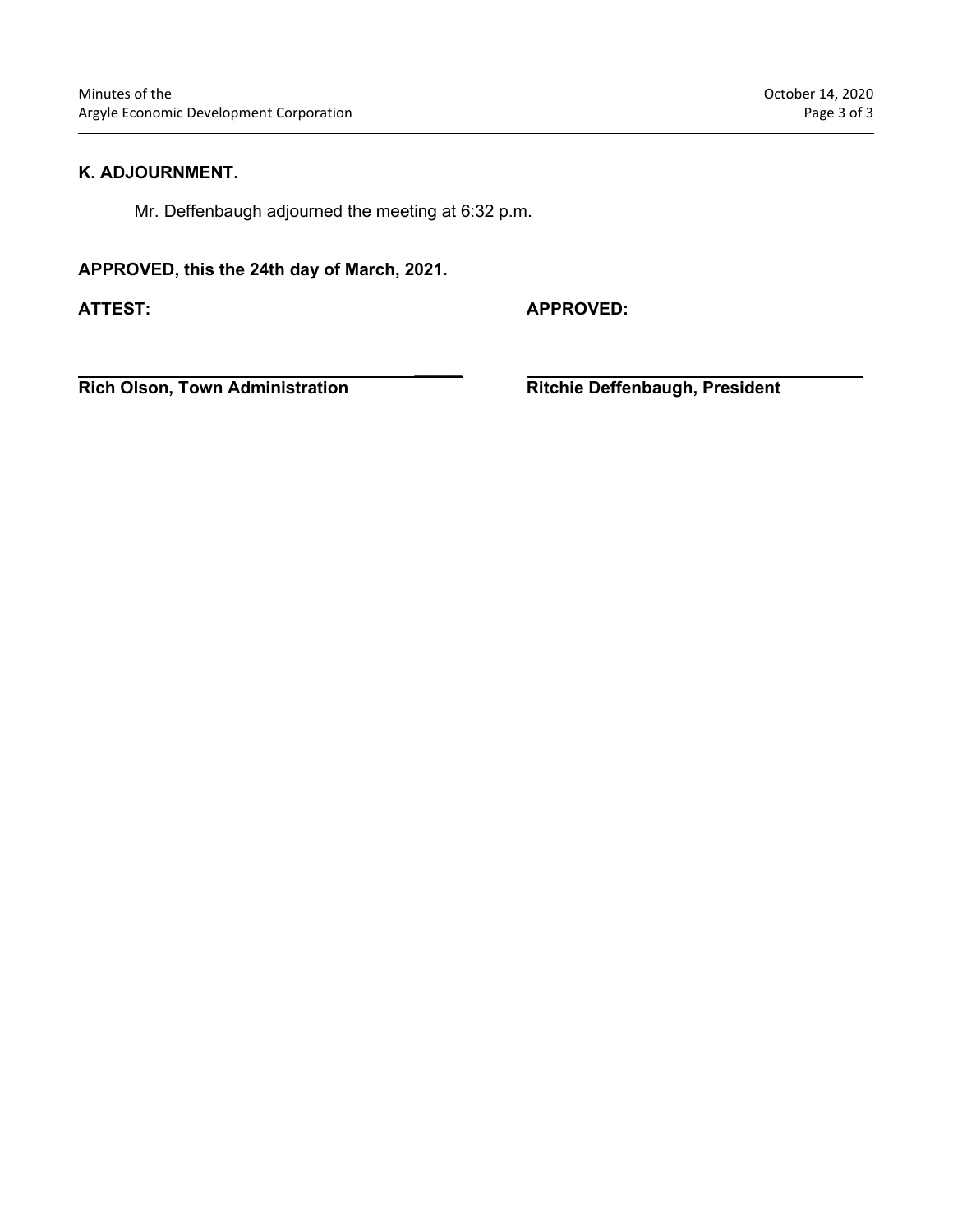#### **K. ADJOURNMENT.**

Mr. Deffenbaugh adjourned the meeting at 6:32 p.m.

**\_\_\_\_\_**

#### **APPROVED, this the 24th day of March, 2021.**

**ATTEST: APPROVED:**

**Rich Olson, Town Administration Ritchie Deffenbaugh, President**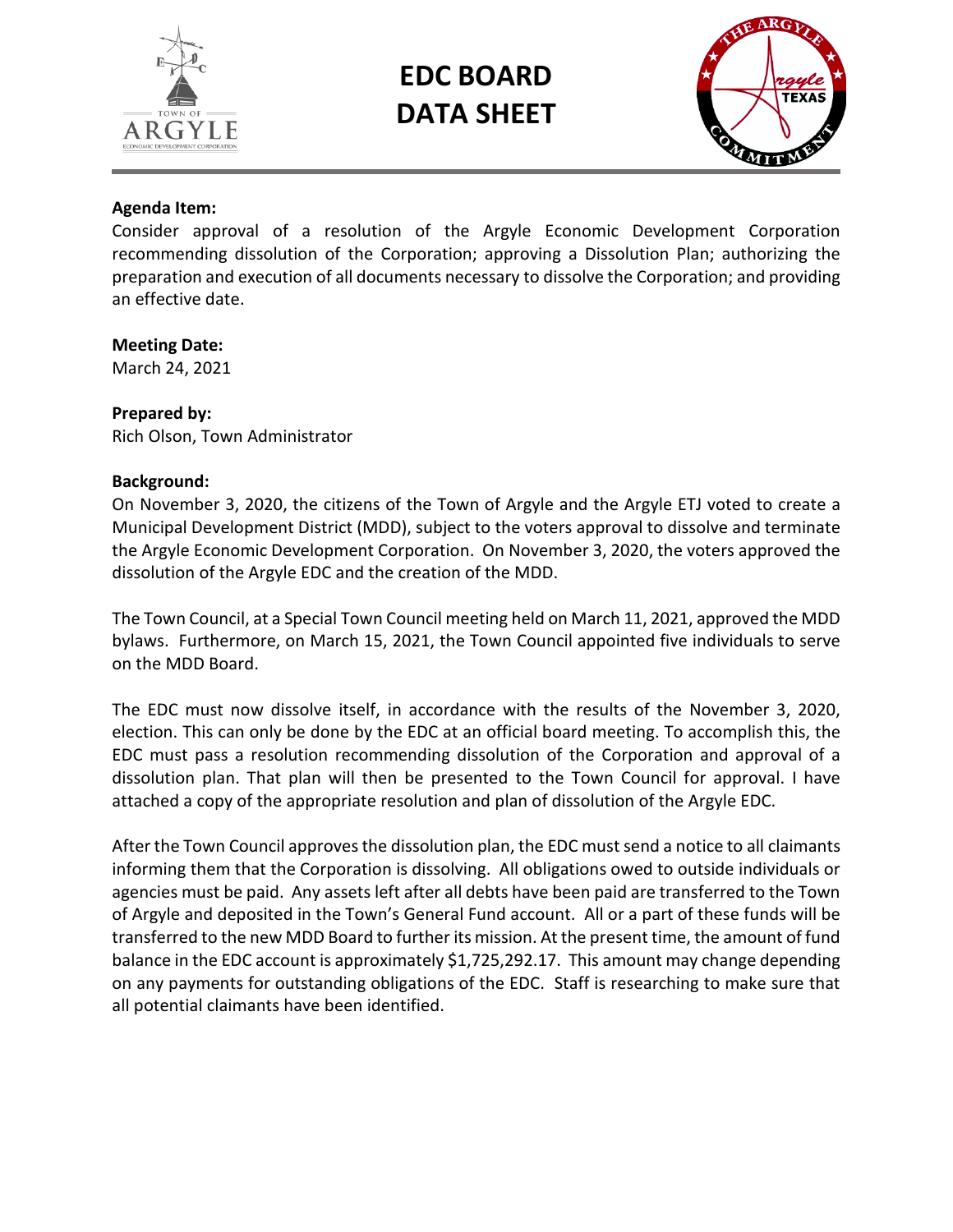

# **EDC BOARD DATA SHEET**



### **Agenda Item:**

Consider approval of a resolution of the Argyle Economic Development Corporation recommending dissolution of the Corporation; approving a Dissolution Plan; authorizing the preparation and execution of all documents necessary to dissolve the Corporation; and providing an effective date.

#### **Meeting Date:**

March 24, 2021

#### **Prepared by:**

Rich Olson, Town Administrator

#### **Background:**

On November 3, 2020, the citizens of the Town of Argyle and the Argyle ETJ voted to create a Municipal Development District (MDD), subject to the voters approval to dissolve and terminate the Argyle Economic Development Corporation. On November 3, 2020, the voters approved the dissolution of the Argyle EDC and the creation of the MDD.

The Town Council, at a Special Town Council meeting held on March 11, 2021, approved the MDD bylaws. Furthermore, on March 15, 2021, the Town Council appointed five individuals to serve on the MDD Board.

The EDC must now dissolve itself, in accordance with the results of the November 3, 2020, election. This can only be done by the EDC at an official board meeting. To accomplish this, the EDC must pass a resolution recommending dissolution of the Corporation and approval of a dissolution plan. That plan will then be presented to the Town Council for approval. I have attached a copy of the appropriate resolution and plan of dissolution of the Argyle EDC.

After the Town Council approves the dissolution plan, the EDC must send a notice to all claimants informing them that the Corporation is dissolving. All obligations owed to outside individuals or agencies must be paid. Any assets left after all debts have been paid are transferred to the Town of Argyle and deposited in the Town's General Fund account. All or a part of these funds will be transferred to the new MDD Board to further its mission. At the present time, the amount of fund balance in the EDC account is approximately \$1,725,292.17. This amount may change depending on any payments for outstanding obligations of the EDC. Staff is researching to make sure that all potential claimants have been identified.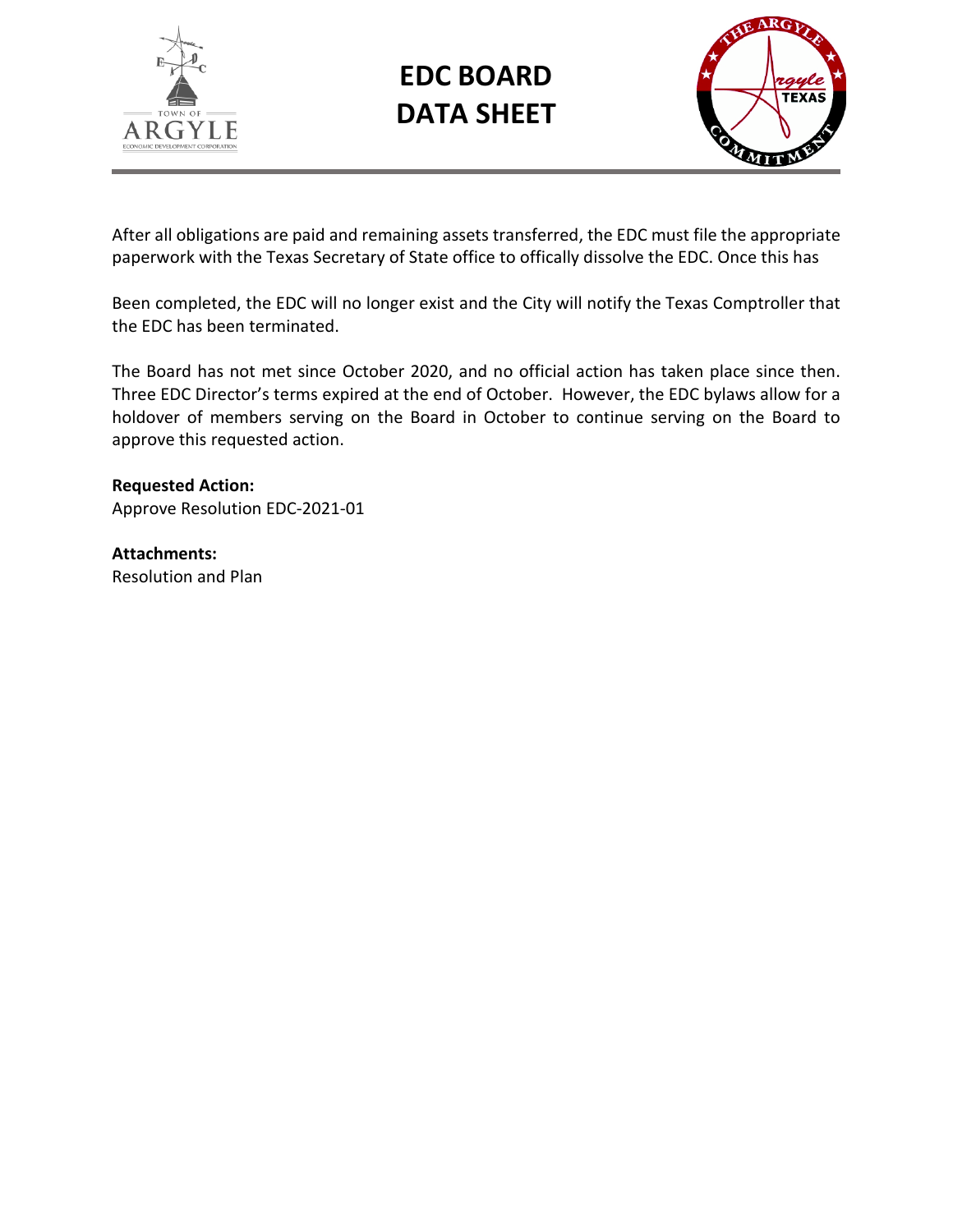

**EDC BOARD DATA SHEET**



After all obligations are paid and remaining assets transferred, the EDC must file the appropriate paperwork with the Texas Secretary of State office to offically dissolve the EDC. Once this has

Been completed, the EDC will no longer exist and the City will notify the Texas Comptroller that the EDC has been terminated.

The Board has not met since October 2020, and no official action has taken place since then. Three EDC Director's terms expired at the end of October. However, the EDC bylaws allow for a holdover of members serving on the Board in October to continue serving on the Board to approve this requested action.

**Requested Action:** Approve Resolution EDC-2021-01

**Attachments:** Resolution and Plan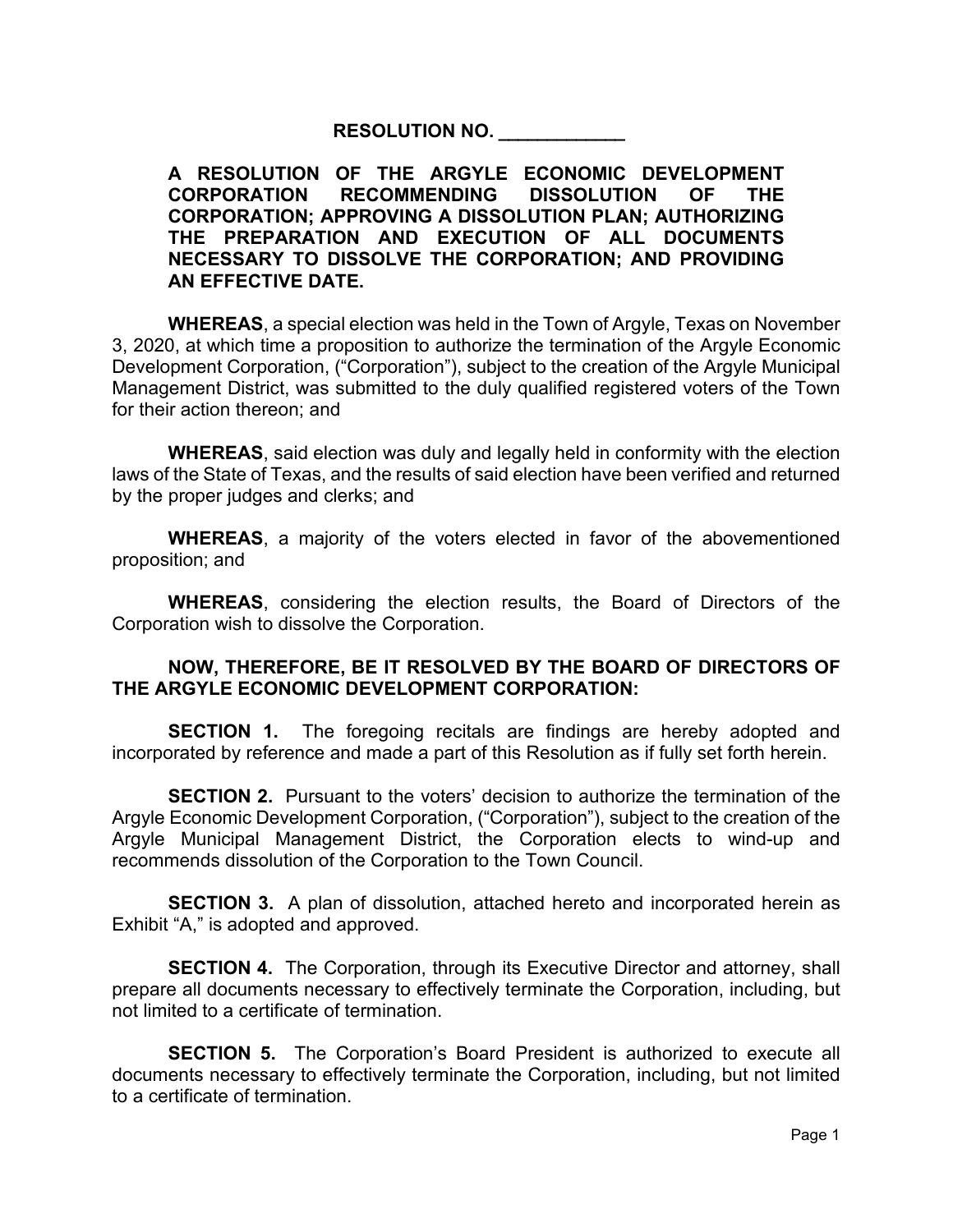**RESOLUTION NO. \_\_\_\_\_\_\_\_\_\_\_\_\_**

# **A RESOLUTION OF THE ARGYLE ECONOMIC DEVELOPMENT CORPORATION RECOMMENDING DISSOLUTION OF THE CORPORATION; APPROVING A DISSOLUTION PLAN; AUTHORIZING THE PREPARATION AND EXECUTION OF ALL DOCUMENTS NECESSARY TO DISSOLVE THE CORPORATION; AND PROVIDING AN EFFECTIVE DATE.**

**WHEREAS**, a special election was held in the Town of Argyle, Texas on November 3, 2020, at which time a proposition to authorize the termination of the Argyle Economic Development Corporation, ("Corporation"), subject to the creation of the Argyle Municipal Management District, was submitted to the duly qualified registered voters of the Town for their action thereon; and

**WHEREAS**, said election was duly and legally held in conformity with the election laws of the State of Texas, and the results of said election have been verified and returned by the proper judges and clerks; and

**WHEREAS**, a majority of the voters elected in favor of the abovementioned proposition; and

**WHEREAS**, considering the election results, the Board of Directors of the Corporation wish to dissolve the Corporation.

# **NOW, THEREFORE, BE IT RESOLVED BY THE BOARD OF DIRECTORS OF THE ARGYLE ECONOMIC DEVELOPMENT CORPORATION:**

**SECTION 1.** The foregoing recitals are findings are hereby adopted and incorporated by reference and made a part of this Resolution as if fully set forth herein.

**SECTION 2.** Pursuant to the voters' decision to authorize the termination of the Argyle Economic Development Corporation, ("Corporation"), subject to the creation of the Argyle Municipal Management District, the Corporation elects to wind-up and recommends dissolution of the Corporation to the Town Council.

**SECTION 3.** A plan of dissolution, attached hereto and incorporated herein as Exhibit "A," is adopted and approved.

**SECTION 4.** The Corporation, through its Executive Director and attorney, shall prepare all documents necessary to effectively terminate the Corporation, including, but not limited to a certificate of termination.

**SECTION 5.** The Corporation's Board President is authorized to execute all documents necessary to effectively terminate the Corporation, including, but not limited to a certificate of termination.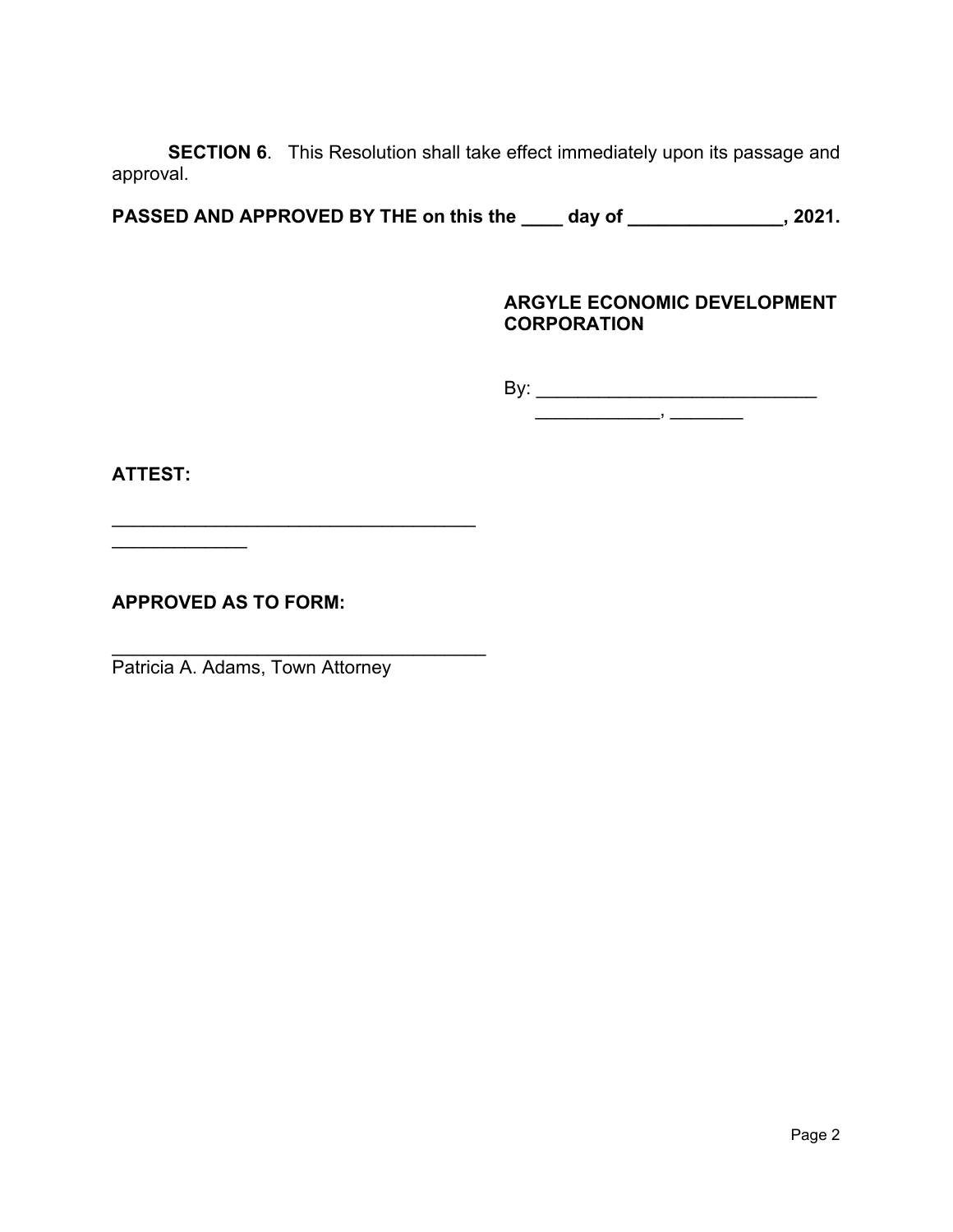**SECTION 6**. This Resolution shall take effect immediately upon its passage and approval.

**PASSED AND APPROVED BY THE on this the \_\_\_\_ day of \_\_\_\_\_\_\_\_\_\_\_\_\_\_\_, 2021.**

# **ARGYLE ECONOMIC DEVELOPMENT CORPORATION**

By: \_\_\_\_\_\_\_\_\_\_\_\_\_\_\_\_\_\_\_\_\_\_\_\_\_\_\_

\_\_\_\_\_\_\_\_\_\_\_\_, \_\_\_\_\_\_\_

**ATTEST:**

**APPROVED AS TO FORM:**

 $\overline{\phantom{a}}$  , where  $\overline{\phantom{a}}$ 

Patricia A. Adams, Town Attorney

\_\_\_\_\_\_\_\_\_\_\_\_\_\_\_\_\_\_\_\_\_\_\_\_\_\_\_\_\_\_\_\_\_\_\_

\_\_\_\_\_\_\_\_\_\_\_\_\_\_\_\_\_\_\_\_\_\_\_\_\_\_\_\_\_\_\_\_\_\_\_\_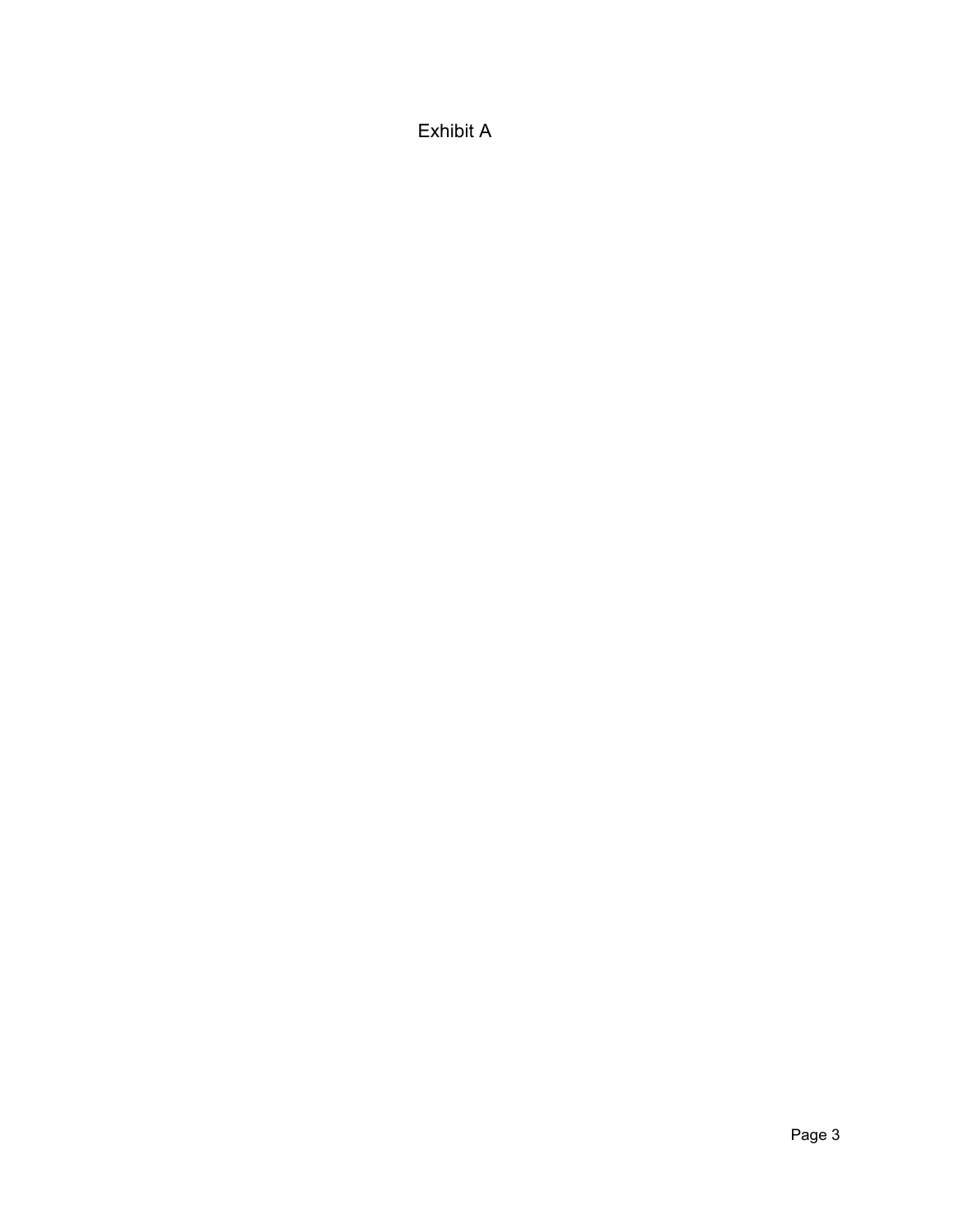Exhibit A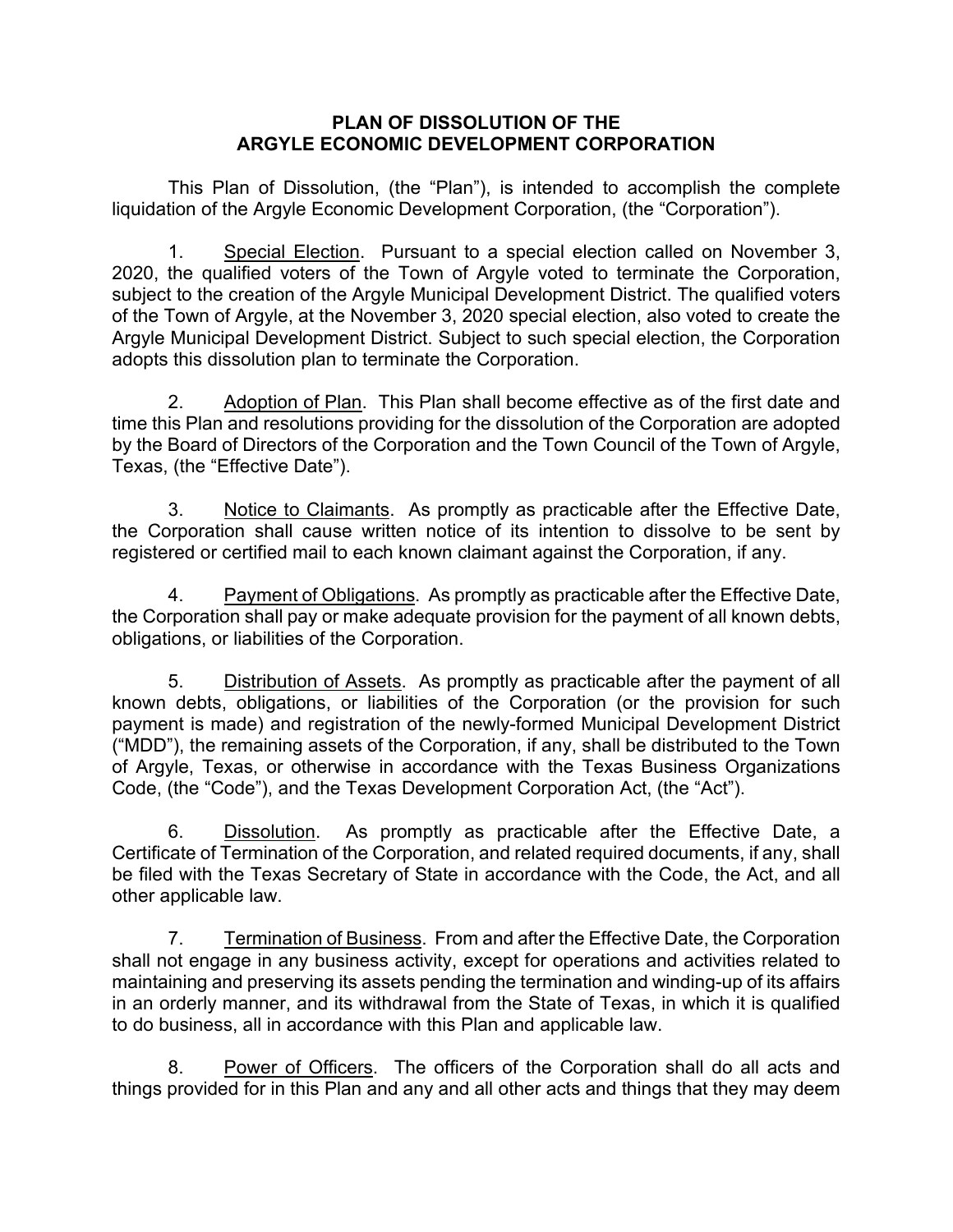### **PLAN OF DISSOLUTION OF THE ARGYLE ECONOMIC DEVELOPMENT CORPORATION**

This Plan of Dissolution, (the "Plan"), is intended to accomplish the complete liquidation of the Argyle Economic Development Corporation, (the "Corporation").

1. Special Election. Pursuant to a special election called on November 3, 2020, the qualified voters of the Town of Argyle voted to terminate the Corporation, subject to the creation of the Argyle Municipal Development District. The qualified voters of the Town of Argyle, at the November 3, 2020 special election, also voted to create the Argyle Municipal Development District. Subject to such special election, the Corporation adopts this dissolution plan to terminate the Corporation.

2. Adoption of Plan. This Plan shall become effective as of the first date and time this Plan and resolutions providing for the dissolution of the Corporation are adopted by the Board of Directors of the Corporation and the Town Council of the Town of Argyle, Texas, (the "Effective Date").

3. Notice to Claimants. As promptly as practicable after the Effective Date, the Corporation shall cause written notice of its intention to dissolve to be sent by registered or certified mail to each known claimant against the Corporation, if any.

4. Payment of Obligations. As promptly as practicable after the Effective Date, the Corporation shall pay or make adequate provision for the payment of all known debts, obligations, or liabilities of the Corporation.

5. Distribution of Assets. As promptly as practicable after the payment of all known debts, obligations, or liabilities of the Corporation (or the provision for such payment is made) and registration of the newly-formed Municipal Development District ("MDD"), the remaining assets of the Corporation, if any, shall be distributed to the Town of Argyle, Texas, or otherwise in accordance with the Texas Business Organizations Code, (the "Code"), and the Texas Development Corporation Act, (the "Act").

6. Dissolution. As promptly as practicable after the Effective Date, a Certificate of Termination of the Corporation, and related required documents, if any, shall be filed with the Texas Secretary of State in accordance with the Code, the Act, and all other applicable law.

7. Termination of Business. From and after the Effective Date, the Corporation shall not engage in any business activity, except for operations and activities related to maintaining and preserving its assets pending the termination and winding-up of its affairs in an orderly manner, and its withdrawal from the State of Texas, in which it is qualified to do business, all in accordance with this Plan and applicable law.

8. Power of Officers. The officers of the Corporation shall do all acts and things provided for in this Plan and any and all other acts and things that they may deem